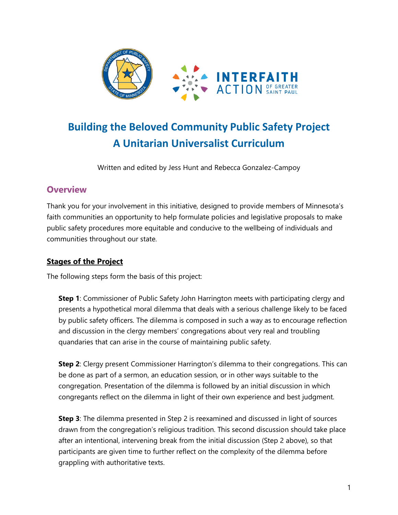

# **Building the Beloved Community Public Safety Project A Unitarian Universalist Curriculum**

Written and edited by Jess Hunt and Rebecca Gonzalez-Campoy

# **Overview**

Thank you for your involvement in this initiative, designed to provide members of Minnesota's faith communities an opportunity to help formulate policies and legislative proposals to make public safety procedures more equitable and conducive to the wellbeing of individuals and communities throughout our state.

# **Stages of the Project**

The following steps form the basis of this project:

**Step 1**: Commissioner of Public Safety John Harrington meets with participating clergy and presents a hypothetical moral dilemma that deals with a serious challenge likely to be faced by public safety officers. The dilemma is composed in such a way as to encourage reflection and discussion in the clergy members' congregations about very real and troubling quandaries that can arise in the course of maintaining public safety.

**Step 2**: Clergy present Commissioner Harrington's dilemma to their congregations. This can be done as part of a sermon, an education session, or in other ways suitable to the congregation. Presentation of the dilemma is followed by an initial discussion in which congregants reflect on the dilemma in light of their own experience and best judgment.

**Step 3**: The dilemma presented in Step 2 is reexamined and discussed in light of sources drawn from the congregation's religious tradition. This second discussion should take place after an intentional, intervening break from the initial discussion (Step 2 above), so that participants are given time to further reflect on the complexity of the dilemma before grappling with authoritative texts.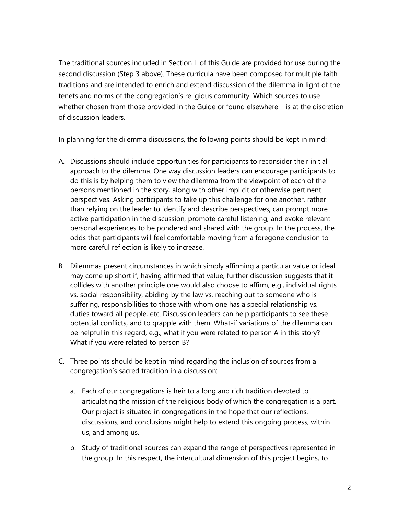The traditional sources included in Section II of this Guide are provided for use during the second discussion (Step 3 above). These curricula have been composed for multiple faith traditions and are intended to enrich and extend discussion of the dilemma in light of the tenets and norms of the congregation's religious community. Which sources to use – whether chosen from those provided in the Guide or found elsewhere – is at the discretion of discussion leaders.

In planning for the dilemma discussions, the following points should be kept in mind:

- A. Discussions should include opportunities for participants to reconsider their initial approach to the dilemma. One way discussion leaders can encourage participants to do this is by helping them to view the dilemma from the viewpoint of each of the persons mentioned in the story, along with other implicit or otherwise pertinent perspectives. Asking participants to take up this challenge for one another, rather than relying on the leader to identify and describe perspectives, can prompt more active participation in the discussion, promote careful listening, and evoke relevant personal experiences to be pondered and shared with the group. In the process, the odds that participants will feel comfortable moving from a foregone conclusion to more careful reflection is likely to increase.
- B. Dilemmas present circumstances in which simply affirming a particular value or ideal may come up short if, having affirmed that value, further discussion suggests that it collides with another principle one would also choose to affirm, e.g., individual rights vs. social responsibility, abiding by the law vs. reaching out to someone who is suffering, responsibilities to those with whom one has a special relationship vs. duties toward all people, etc. Discussion leaders can help participants to see these potential conflicts, and to grapple with them. What-if variations of the dilemma can be helpful in this regard, e.g., what if you were related to person A in this story? What if you were related to person B?
- C. Three points should be kept in mind regarding the inclusion of sources from a congregation's sacred tradition in a discussion:
	- a. Each of our congregations is heir to a long and rich tradition devoted to articulating the mission of the religious body of which the congregation is a part. Our project is situated in congregations in the hope that our reflections, discussions, and conclusions might help to extend this ongoing process, within us, and among us.
	- b. Study of traditional sources can expand the range of perspectives represented in the group. In this respect, the intercultural dimension of this project begins, to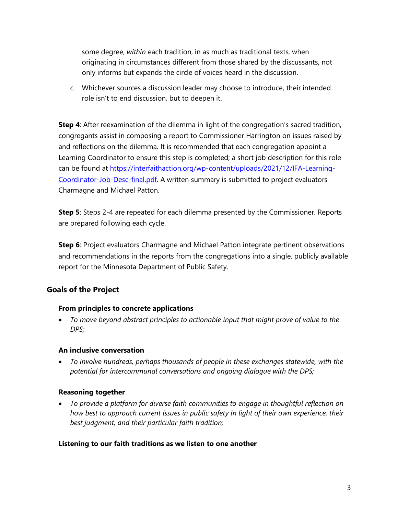some degree, *within* each tradition, in as much as traditional texts, when originating in circumstances different from those shared by the discussants, not only informs but expands the circle of voices heard in the discussion.

c. Whichever sources a discussion leader may choose to introduce, their intended role isn't to end discussion, but to deepen it.

**Step 4**: After reexamination of the dilemma in light of the congregation's sacred tradition, congregants assist in composing a report to Commissioner Harrington on issues raised by and reflections on the dilemma. It is recommended that each congregation appoint a Learning Coordinator to ensure this step is completed; a short job description for this role can be found at [https://interfaithaction.org/wp-content/uploads/2021/12/IFA-Learning-](https://interfaithaction.org/wp-content/uploads/2021/12/IFA-Learning-Coordinator-Job-Desc-final.pdf)[Coordinator-Job-Desc-final.pdf.](https://interfaithaction.org/wp-content/uploads/2021/12/IFA-Learning-Coordinator-Job-Desc-final.pdf) A written summary is submitted to project evaluators Charmagne and Michael Patton.

**Step 5**: Steps 2-4 are repeated for each dilemma presented by the Commissioner. Reports are prepared following each cycle.

**Step 6**: Project evaluators Charmagne and Michael Patton integrate pertinent observations and recommendations in the reports from the congregations into a single, publicly available report for the Minnesota Department of Public Safety.

## **Goals of the Project**

#### **From principles to concrete applications**

• *To move beyond abstract principles to actionable input that might prove of value to the DPS;*

#### **An inclusive conversation**

• *To involve hundreds, perhaps thousands of people in these exchanges statewide, with the potential for intercommunal conversations and ongoing dialogue with the DPS;*

#### **Reasoning together**

• *To provide a platform for diverse faith communities to engage in thoughtful reflection on how best to approach current issues in public safety in light of their own experience, their best judgment, and their particular faith tradition;*

#### **Listening to our faith traditions as we listen to one another**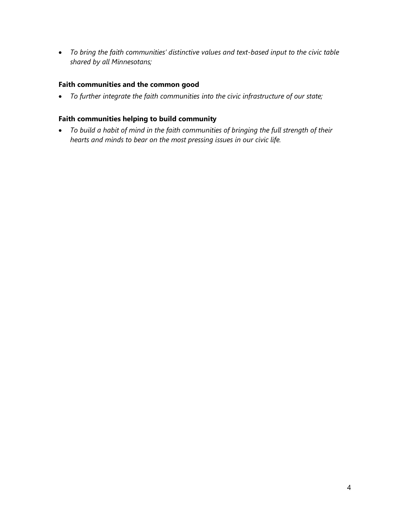• *To bring the faith communities' distinctive values and text-based input to the civic table shared by all Minnesotans;*

#### **Faith communities and the common good**

• *To further integrate the faith communities into the civic infrastructure of our state;*

#### **Faith communities helping to build community**

• *To build a habit of mind in the faith communities of bringing the full strength of their hearts and minds to bear on the most pressing issues in our civic life.*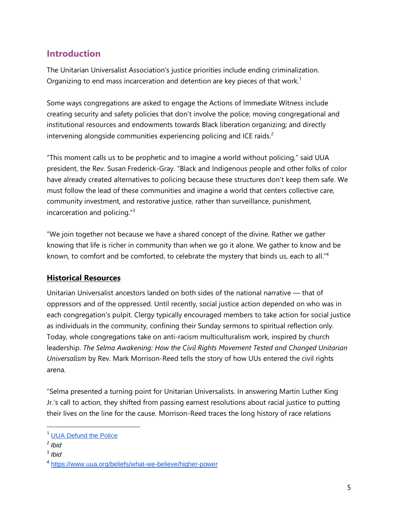# **Introduction**

The Unitarian Universalist Association's justice priorities include ending criminalization. Organizing to end mass incarceration and detention are key pieces of that work.<sup>1</sup>

Some ways congregations are asked to engage the Actions of Immediate Witness include creating security and safety policies that don't involve the police; moving congregational and institutional resources and endowments towards Black liberation organizing; and directly intervening alongside communities experiencing policing and ICE raids.<sup>2</sup>

"This moment calls us to be prophetic and to imagine a world without policing," said UUA president, the Rev. Susan Frederick-Gray. "Black and Indigenous people and other folks of color have already created alternatives to policing because these structures don't keep them safe. We must follow the lead of these communities and imagine a world that centers collective care, community investment, and restorative justice, rather than surveillance, punishment, incarceration and policing."<sup>3</sup>

"We join together not because we have a shared concept of the divine. Rather we gather knowing that life is richer in community than when we go it alone. We gather to know and be known, to comfort and be comforted, to celebrate the mystery that binds us, each to all.<sup>"4</sup>

# **Historical Resources**

Unitarian Universalist ancestors landed on both sides of the national narrative — that of oppressors and of the oppressed. Until recently, social justice action depended on who was in each congregation's pulpit. Clergy typically encouraged members to take action for social justice as individuals in the community, confining their Sunday sermons to spiritual reflection only. Today, whole congregations take on anti-racism multiculturalism work, inspired by church leadership. *The Selma Awakening: How the Civil Rights Movement Tested and Changed Unitarian Universalism* by Rev. Mark Morrison-Reed tells the story of how UUs entered the civil rights arena.

"Selma presented a turning point for Unitarian Universalists. In answering Martin Luther King Jr.'s call to action, they shifted from passing earnest resolutions about racial justice to putting their lives on the line for the cause. Morrison-Reed traces the long history of race relations

<sup>&</sup>lt;sup>1</sup> UUA [Defund](https://www.uua.org/pressroom/press-releases/unitarian-universalist-association-says-its-time-defund-police) the Police

<sup>2</sup> *Ibid*

<sup>3</sup> *Ibid*

<sup>4</sup> <https://www.uua.org/beliefs/what-we-believe/higher-power>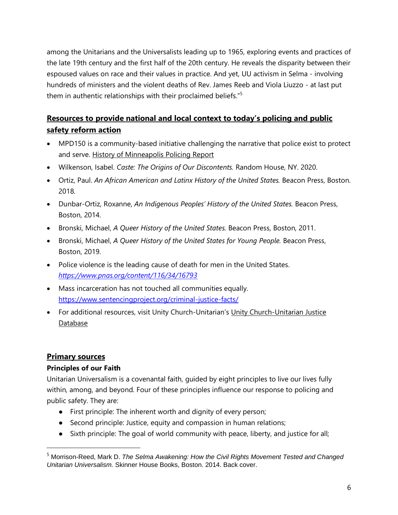among the Unitarians and the Universalists leading up to 1965, exploring events and practices of the late 19th century and the first half of the 20th century. He reveals the disparity between their espoused values on race and their values in practice. And yet, UU activism in Selma - involving hundreds of ministers and the violent deaths of Rev. James Reeb and Viola Liuzzo - at last put them in authentic relationships with their proclaimed beliefs."<sup>5</sup>

# **Resources to provide national and local context to today's policing and public safety reform action**

- MPD150 is a community-based initiative challenging the narrative that police exist to protect and serve. History of [Minneapolis](https://www.mpd150.com/) Policing Report
- Wilkenson, Isabel. *Caste: The Origins of Our Discontents.* Random House, NY. 2020.
- Ortiz, Paul. *An African American and Latinx History of the United States.* Beacon Press, Boston. 2018.
- Dunbar-Ortiz, Roxanne, *An Indigenous Peoples' History of the United States.* Beacon Press, Boston, 2014.
- Bronski, Michael, *A Queer History of the United States.* Beacon Press, Boston, 2011.
- Bronski, Michael, *A Queer History of the United States for Young People.* Beacon Press, Boston, 2019.
- Police violence is the leading cause of death for men in the United States. *<https://www.pnas.org/content/116/34/16793>*
- Mass incarceration has not touched all communities equally. <https://www.sentencingproject.org/criminal-justice-facts/>
- For additional resources, visit Unity [Church-Unitarian](https://www.airtable.com/universe/expvcvDVJwTERuzwO/the-justice-database)'s Unity Church-Unitarian Justice [Database](https://www.airtable.com/universe/expvcvDVJwTERuzwO/the-justice-database)

## **Primary sources**

#### **Principles of our Faith**

Unitarian Universalism is a covenantal faith, guided by eight principles to live our lives fully within, among, and beyond. Four of these principles influence our response to policing and public safety. They are:

- First principle: The inherent worth and dignity of every person;
- Second principle: Justice, equity and compassion in human relations;
- Sixth principle: The goal of world community with peace, liberty, and justice for all;

<sup>5</sup> Morrison-Reed, Mark D. *The Selma Awakening: How the Civil Rights Movement Tested and Changed Unitarian Universalism.* Skinner House Books, Boston. 2014. Back cover.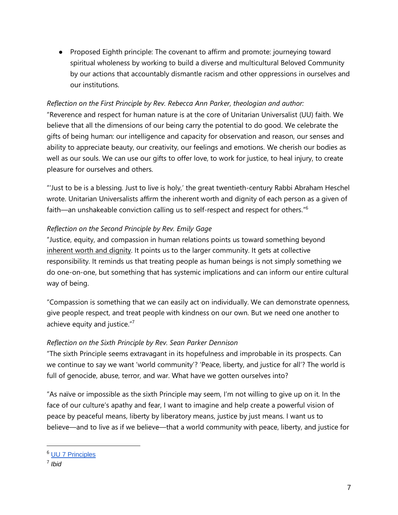● Proposed Eighth principle: The covenant to affirm and promote: journeying toward spiritual wholeness by working to build a diverse and multicultural Beloved Community by our actions that accountably dismantle racism and other oppressions in ourselves and our institutions.

#### *Reflection on the First Principle by Rev. Rebecca Ann Parker, theologian and author:*

"Reverence and respect for human nature is at the core of Unitarian Universalist (UU) faith. We believe that all the dimensions of our being carry the potential to do good. We celebrate the gifts of being human: our intelligence and capacity for observation and reason, our senses and ability to appreciate beauty, our creativity, our feelings and emotions. We cherish our bodies as well as our souls. We can use our gifts to offer love, to work for justice, to heal injury, to create pleasure for ourselves and others.

"'Just to be is a blessing. Just to live is holy,' the great twentieth-century Rabbi Abraham Heschel wrote. Unitarian Universalists affirm the inherent worth and dignity of each person as a given of faith—an unshakeable conviction calling us to self-respect and respect for others."<sup>6</sup>

#### *Reflection on the Second Principle by Rev. Emily Gage*

"Justice, equity, and compassion in human relations points us toward something beyond [inherent](https://www.uua.org/beliefs/what-we-believe/principles/1st) worth and dignity. It points us to the larger community. It gets at collective responsibility. It reminds us that treating people as human beings is not simply something we do one-on-one, but something that has systemic implications and can inform our entire cultural way of being.

"Compassion is something that we can easily act on individually. We can demonstrate openness, give people respect, and treat people with kindness on our own. But we need one another to achieve equity and justice."<sup>7</sup>

#### *Reflection on the Sixth Principle by Rev. Sean Parker Dennison*

"The sixth Principle seems extravagant in its hopefulness and improbable in its prospects. Can we continue to say we want 'world community'? 'Peace, liberty, and justice for all'? The world is full of genocide, abuse, terror, and war. What have we gotten ourselves into?

"As naïve or impossible as the sixth Principle may seem, I'm not willing to give up on it. In the face of our culture's apathy and fear, I want to imagine and help create a powerful vision of peace by peaceful means, liberty by liberatory means, justice by just means. I want us to believe—and to live as if we believe—that a world community with peace, liberty, and justice for

<sup>6</sup> UU 7 [Principles](https://www.uua.org/beliefs/what-we-believe/principles)

<sup>7</sup> *Ibid*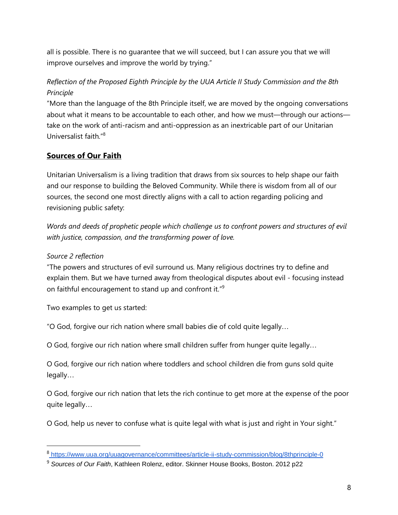all is possible. There is no guarantee that we will succeed, but I can assure you that we will improve ourselves and improve the world by trying."

# *Reflection of the Proposed Eighth Principle by the UUA Article II Study Commission and the 8th Principle*

"More than the language of the 8th Principle itself, we are moved by the ongoing conversations about what it means to be accountable to each other, and how we must—through our actions take on the work of anti-racism and anti-oppression as an inextricable part of our Unitarian Universalist faith."<sup>8</sup>

# **Sources of Our Faith**

Unitarian Universalism is a living tradition that draws from six sources to help shape our faith and our response to building the Beloved Community. While there is wisdom from all of our sources, the second one most directly aligns with a call to action regarding policing and revisioning public safety:

*Words and deeds of prophetic people which challenge us to confront powers and structures of evil with justice, compassion, and the transforming power of love.*

## *Source 2 reflection*

"The powers and structures of evil surround us. Many religious doctrines try to define and explain them. But we have turned away from theological disputes about evil - focusing instead on faithful encouragement to stand up and confront it."<sup>9</sup>

Two examples to get us started:

"O God, forgive our rich nation where small babies die of cold quite legally…

O God, forgive our rich nation where small children suffer from hunger quite legally…

O God, forgive our rich nation where toddlers and school children die from guns sold quite legally…

O God, forgive our rich nation that lets the rich continue to get more at the expense of the poor quite legally…

O God, help us never to confuse what is quite legal with what is just and right in Your sight."

<sup>8</sup> <https://www.uua.org/uuagovernance/committees/article-ii-study-commission/blog/8thprinciple-0>

<sup>9</sup> *Sources of Our Faith*, Kathleen Rolenz, editor. Skinner House Books, Boston. 2012 p22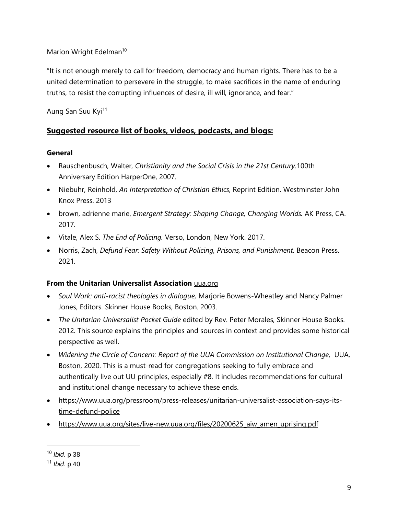Marion Wright Edelman<sup>10</sup>

"It is not enough merely to call for freedom, democracy and human rights. There has to be a united determination to persevere in the struggle, to make sacrifices in the name of enduring truths, to resist the corrupting influences of desire, ill will, ignorance, and fear."

Aung San Suu Kyi<sup>11</sup>

# **Suggested resource list of books, videos, podcasts, and blogs:**

#### **General**

- Rauschenbusch, Walter, *Christianity and the Social Crisis in the 21st Century.*100th Anniversary Edition HarperOne, 2007.
- Niebuhr, Reinhold, *An Interpretation of Christian Ethics*, Reprint Edition. Westminster John Knox Press. 2013
- brown, adrienne marie, *Emergent Strategy: Shaping Change, Changing Worlds.* AK Press, CA. 2017.
- Vitale, Alex S. *The End of Policing.* Verso, London, New York. 2017.
- Norris, Zach, *Defund Fear: Safety Without Policing, Prisons, and Punishment.* Beacon Press. 2021.

## **From the Unitarian Universalist Association** [uua.org](http://uua.org/)

- *Soul Work: anti-racist theologies in dialogue,* Marjorie Bowens-Wheatley and Nancy Palmer Jones, Editors. Skinner House Books, Boston. 2003.
- *The Unitarian Universalist Pocket Guide* edited by Rev. Peter Morales, Skinner House Books. 2012. This source explains the principles and sources in context and provides some historical perspective as well.
- *Widening the Circle of Concern: Report of the UUA Commission on Institutional Change*, UUA, Boston, 2020. This is a must-read for congregations seeking to fully embrace and authentically live out UU principles, especially #8. It includes recommendations for cultural and institutional change necessary to achieve these ends.
- [https://www.uua.org/pressroom/press-releases/unitarian-universalist-association-says-its](https://www.uua.org/pressroom/press-releases/unitarian-universalist-association-says-its-time-defund-police)[time-defund-police](https://www.uua.org/pressroom/press-releases/unitarian-universalist-association-says-its-time-defund-police)
- [https://www.uua.org/sites/live-new.uua.org/files/20200625\\_aiw\\_amen\\_uprising.pdf](https://www.uua.org/sites/live-new.uua.org/files/20200625_aiw_amen_uprising.pdf)

<sup>10</sup> *Ibid.* p 38

<sup>11</sup> *Ibid*. p 40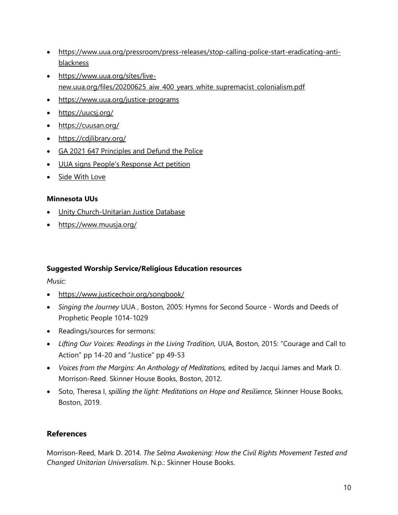- [https://www.uua.org/pressroom/press-releases/stop-calling-police-start-eradicating-anti](https://www.uua.org/pressroom/press-releases/stop-calling-police-start-eradicating-anti-blackness)[blackness](https://www.uua.org/pressroom/press-releases/stop-calling-police-start-eradicating-anti-blackness)
- [https://www.uua.org/sites/live](https://www.uua.org/sites/live-new.uua.org/files/20200625_aiw_400_years_white_supremacist_colonialism.pdf)[new.uua.org/files/20200625\\_aiw\\_400\\_years\\_white\\_supremacist\\_colonialism.pdf](https://www.uua.org/sites/live-new.uua.org/files/20200625_aiw_400_years_white_supremacist_colonialism.pdf)
- <https://www.uua.org/justice-programs>
- <https://uucsj.org/>
- <https://cuusan.org/>
- <https://cdjlibrary.org/>
- GA 2021 647 [Principles](https://vimeo.com/563894331/d12624fcc2) and Defund the Police
- UUA signs People's [Response](https://peoplesresponseact.com/wp-content/uploads/2021/06/The-PRA_-One-Pager.pdf) Act petition
- Side [With](https://sidewithlove.org/) Love

#### **Minnesota UUs**

- Unity [Church-Unitarian](https://www.airtable.com/universe/expvcvDVJwTERuzwO/the-justice-database) Justice Database
- <https://www.muusja.org/>

#### **Suggested Worship Service/Religious Education resources**

*Music*:

- <https://www.justicechoir.org/songbook/>
- *Singing the Journey* UUA , Boston, 2005: Hymns for Second Source Words and Deeds of Prophetic People 1014-1029
- Readings/sources for sermons:
- *Lifting Our Voices: Readings in the Living Tradition,* UUA, Boston, 2015: "Courage and Call to Action" pp 14-20 and "Justice" pp 49-53
- *Voices from the Margins: An Anthology of Meditations,* edited by Jacqui James and Mark D. Morrison-Reed. Skinner House Books, Boston, 2012.
- Soto, Theresa I, *spilling the light: Meditations on Hope and Resilience,* Skinner House Books, Boston, 2019.

# **References**

Morrison-Reed, Mark D. 2014. *The Selma Awakening: How the Civil Rights Movement Tested and Changed Unitarian Universalism*. N.p.: Skinner House Books.